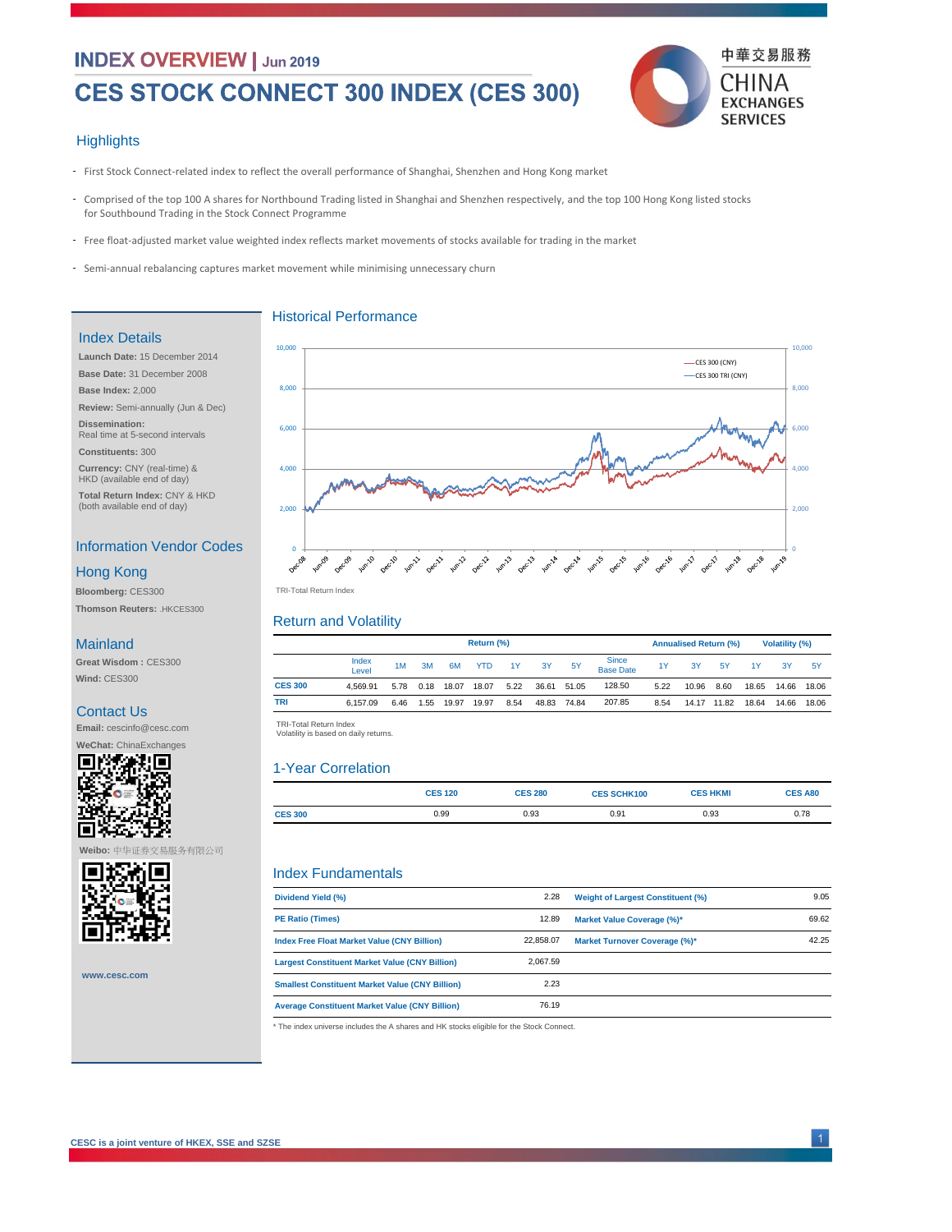### **INDEX OVERVIEW | Jun 2019**

# **CES STOCK CONNECT 300 INDEX (CES 300)**



#### **Highlights**

- First Stock Connect-related index to reflect the overall performance of Shanghai, Shenzhen and Hong Kong market
- Comprised of the top 100 A shares for Northbound Trading listed in Shanghai and Shenzhen respectively, and the top 100 Hong Kong listed stocks for Southbound Trading in the Stock Connect Programme
- Free float-adjusted market value weighted index reflects market movements of stocks available for trading in the market
- Semi-annual rebalancing captures market movement while minimising unnecessary churn

#### Index Details

**Launch Date:** 15 December 2014 **Base Date:** 31 December 2008 **Base Index:** 2,000 **Review:** Semi-annually (Jun & Dec)

**Dissemination:**  Real time at 5-second intervals **Constituents:** 300

**Currency:** CNY (real-time) & HKD (available end of day)

**Total Return Index:** CNY & HKD (both available end of day)

### Information Vendor Codes

#### Hong Kong

**Bloomberg:** CES300 **Thomson Reuters:** .HKCES300

#### **Mainland**

**Great Wisdom :** CES300 **Wind:** CES300

#### Contact Us

**Email:** cescinfo@cesc.com **WeChat:** ChinaExchanges



**Weibo:** 中华证券交易服务有限公司



**www.cesc.com**





#### Return and Volatility

|                | Return (%)     |      |      |       |       |      |       |           | <b>Annualised Return (%)</b>     |      |       |           | <b>Volatility (%)</b> |       |           |
|----------------|----------------|------|------|-------|-------|------|-------|-----------|----------------------------------|------|-------|-----------|-----------------------|-------|-----------|
|                | Index<br>Level | 1M   | 3M   | 6M    | YTD   | 1Y   | 3Y    | <b>5Y</b> | <b>Since</b><br><b>Base Date</b> | 1Y   | 3Y    | <b>5Y</b> | 1Y                    | 3Y    | <b>5Y</b> |
| <b>CES 300</b> | 4.569.91       | 5.78 | 0.18 | 18.07 | 18.07 | 5.22 | 36.61 | 51.05     | 128.50                           | 5.22 | 10.96 | 8.60      | 18.65                 | 14.66 | 18.06     |
| <b>TRI</b>     | 6.157.09       | 6.46 | 1.55 | 19.97 | 19.97 | 8.54 | 48.83 | 74.84     | 207.85                           | 8.54 | 14.17 | 11.82     | 18.64                 | 14.66 | 18.06     |
|                |                |      |      |       |       |      |       |           |                                  |      |       |           |                       |       |           |

TRI-Total Return Index<br>Volatility is based on daily returns.

### 1-Year Correlation

|                | <b>CES 120</b> | <b>CES 280</b> | <b>CES SCHK100</b> | <b>CES HKMI</b> | <b>CES A80</b> |
|----------------|----------------|----------------|--------------------|-----------------|----------------|
| <b>CES 300</b> | 0.99           | 0.93           | 0.91               | 0.93            | 0.78           |
|                |                |                |                    |                 |                |

#### Index Fundamentals

| Dividend Yield (%)                                     | 2.28      | <b>Weight of Largest Constituent (%)</b> | 9.05  |
|--------------------------------------------------------|-----------|------------------------------------------|-------|
| <b>PE Ratio (Times)</b>                                | 12.89     | Market Value Coverage (%)*               | 69.62 |
| Index Free Float Market Value (CNY Billion)            | 22.858.07 | <b>Market Turnover Coverage (%)*</b>     | 42.25 |
| <b>Largest Constituent Market Value (CNY Billion)</b>  | 2.067.59  |                                          |       |
| <b>Smallest Constituent Market Value (CNY Billion)</b> | 2.23      |                                          |       |
| <b>Average Constituent Market Value (CNY Billion)</b>  | 76.19     |                                          |       |

\* The index universe includes the A shares and HK stocks eligible for the Stock Connect.